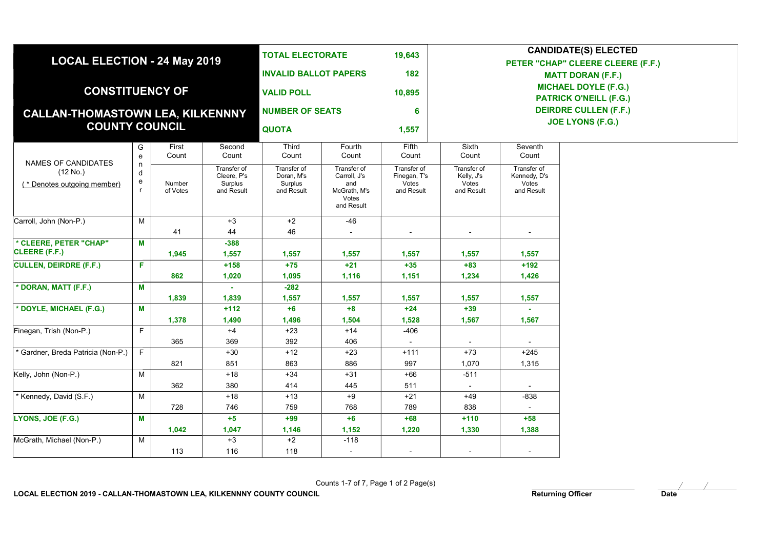| <b>MICHAEL DOYLE (F.G.)</b><br><b>CONSTITUENCY OF</b><br><b>VALID POLL</b><br>10,895<br><b>PATRICK O'NEILL (F.G.)</b><br><b>DEIRDRE CULLEN (F.F.)</b><br><b>NUMBER OF SEATS</b><br>6<br>CALLAN-THOMASTOWN LEA, KILKENNNY<br><b>JOE LYONS (F.G.)</b><br><b>COUNTY COUNCIL</b><br><b>QUOTA</b><br>1,557<br>Fifth<br>First<br>Second<br><b>Third</b><br><b>Sixth</b><br>Seventh<br>G<br>Fourth<br>Count<br>Count<br>Count<br>Count<br>Count<br>Count<br>Count<br>e<br>NAMES OF CANDIDATES<br>n<br>Transfer of<br>Transfer of<br>Transfer of<br>Transfer of<br>Transfer of<br>Transfer of<br>(12 No.)<br>d<br>Cleere. P's<br>Doran. M's<br>Carroll, J's<br>Finegan, T's<br>Kelly, J's<br>Kennedy, D's<br>e<br>Surplus<br>Surplus<br>Votes<br>Votes<br>Votes<br>Number<br>and<br>(* Denotes outgoing member)<br>$\mathsf{r}$<br>of Votes<br>and Result<br>and Result<br>McGrath, M's<br>and Result<br>and Result<br>and Result<br>Votes<br>and Result<br>$+2$<br>M<br>$+3$<br>$-46$<br>41<br>44<br>46<br>* CLEERE, PETER "CHAP"<br>М<br>$-388$<br>CLEERE (F.F.)<br>1,945<br>1,557<br>1,557<br>1,557<br>1,557<br>1,557<br>1,557<br>F<br>$+158$<br>$+75$<br>$+21$<br>$+35$<br>$+83$<br>$+192$<br>862<br>1,020<br>1,095<br>1,116<br>1,151<br>1,234<br>1,426<br>М<br>$-282$<br>1,839<br>1,839<br>1,557<br>1,557<br>1,557<br>1,557<br>1,557<br>$+39$<br>М<br>$+112$<br>$+6$<br>$+8$<br>$+24$<br>1,378<br>1,490<br>1,496<br>1,504<br>1,528<br>1,567<br>1,567<br>F<br>$+4$<br>$+23$<br>$+14$<br>$-406$<br>369<br>392<br>406<br>365<br>* Gardner, Breda Patricia (Non-P.)<br>F<br>$+73$<br>$+245$<br>$+30$<br>$+12$<br>$+23$<br>$+111$<br>851<br>863<br>886<br>997<br>1,070<br>1,315<br>821<br>M<br>$+18$<br>$+34$<br>$+31$<br>$+66$<br>$-511$<br>380<br>414<br>511<br>362<br>445<br>* Kennedy, David (S.F.)<br>M<br>$+18$<br>$+13$<br>$+9$<br>$+21$<br>$+49$<br>$-838$<br>759<br>789<br>728<br>746<br>768<br>838<br>М<br>$+5$<br>$+99$<br>$+6$<br>$+68$<br>$+110$<br>$+58$<br>1,042<br>1,152<br>1,220<br>1,330<br>1,388<br>1,047<br>1,146<br>M<br>$+3$<br>$+2$<br>$-118$<br>116<br>118<br>113<br>$\sim$<br>$\overline{\phantom{a}}$ | <b>LOCAL ELECTION - 24 May 2019</b> |  | <b>TOTAL ELECTORATE</b><br><b>INVALID BALLOT PAPERS</b> |  | 19,643<br>182 | <b>CANDIDATE(S) ELECTED</b><br>PETER "CHAP" CLEERE CLEERE (F.F.)<br><b>MATT DORAN (F.F.)</b> |  |  |  |  |
|-------------------------------------------------------------------------------------------------------------------------------------------------------------------------------------------------------------------------------------------------------------------------------------------------------------------------------------------------------------------------------------------------------------------------------------------------------------------------------------------------------------------------------------------------------------------------------------------------------------------------------------------------------------------------------------------------------------------------------------------------------------------------------------------------------------------------------------------------------------------------------------------------------------------------------------------------------------------------------------------------------------------------------------------------------------------------------------------------------------------------------------------------------------------------------------------------------------------------------------------------------------------------------------------------------------------------------------------------------------------------------------------------------------------------------------------------------------------------------------------------------------------------------------------------------------------------------------------------------------------------------------------------------------------------------------------------------------------------------------------------------------------------------------------------------------------------------------------------------------------------------------------------------------------------------------------------------------------------------------------------------------------------------------------------------------------------------------------------------------------------|-------------------------------------|--|---------------------------------------------------------|--|---------------|----------------------------------------------------------------------------------------------|--|--|--|--|
|                                                                                                                                                                                                                                                                                                                                                                                                                                                                                                                                                                                                                                                                                                                                                                                                                                                                                                                                                                                                                                                                                                                                                                                                                                                                                                                                                                                                                                                                                                                                                                                                                                                                                                                                                                                                                                                                                                                                                                                                                                                                                                                         |                                     |  |                                                         |  |               |                                                                                              |  |  |  |  |
|                                                                                                                                                                                                                                                                                                                                                                                                                                                                                                                                                                                                                                                                                                                                                                                                                                                                                                                                                                                                                                                                                                                                                                                                                                                                                                                                                                                                                                                                                                                                                                                                                                                                                                                                                                                                                                                                                                                                                                                                                                                                                                                         |                                     |  |                                                         |  |               |                                                                                              |  |  |  |  |
|                                                                                                                                                                                                                                                                                                                                                                                                                                                                                                                                                                                                                                                                                                                                                                                                                                                                                                                                                                                                                                                                                                                                                                                                                                                                                                                                                                                                                                                                                                                                                                                                                                                                                                                                                                                                                                                                                                                                                                                                                                                                                                                         |                                     |  |                                                         |  |               |                                                                                              |  |  |  |  |
|                                                                                                                                                                                                                                                                                                                                                                                                                                                                                                                                                                                                                                                                                                                                                                                                                                                                                                                                                                                                                                                                                                                                                                                                                                                                                                                                                                                                                                                                                                                                                                                                                                                                                                                                                                                                                                                                                                                                                                                                                                                                                                                         |                                     |  |                                                         |  |               |                                                                                              |  |  |  |  |
|                                                                                                                                                                                                                                                                                                                                                                                                                                                                                                                                                                                                                                                                                                                                                                                                                                                                                                                                                                                                                                                                                                                                                                                                                                                                                                                                                                                                                                                                                                                                                                                                                                                                                                                                                                                                                                                                                                                                                                                                                                                                                                                         |                                     |  |                                                         |  |               |                                                                                              |  |  |  |  |
|                                                                                                                                                                                                                                                                                                                                                                                                                                                                                                                                                                                                                                                                                                                                                                                                                                                                                                                                                                                                                                                                                                                                                                                                                                                                                                                                                                                                                                                                                                                                                                                                                                                                                                                                                                                                                                                                                                                                                                                                                                                                                                                         | Carroll, John (Non-P.)              |  |                                                         |  |               |                                                                                              |  |  |  |  |
|                                                                                                                                                                                                                                                                                                                                                                                                                                                                                                                                                                                                                                                                                                                                                                                                                                                                                                                                                                                                                                                                                                                                                                                                                                                                                                                                                                                                                                                                                                                                                                                                                                                                                                                                                                                                                                                                                                                                                                                                                                                                                                                         |                                     |  |                                                         |  |               |                                                                                              |  |  |  |  |
|                                                                                                                                                                                                                                                                                                                                                                                                                                                                                                                                                                                                                                                                                                                                                                                                                                                                                                                                                                                                                                                                                                                                                                                                                                                                                                                                                                                                                                                                                                                                                                                                                                                                                                                                                                                                                                                                                                                                                                                                                                                                                                                         |                                     |  |                                                         |  |               |                                                                                              |  |  |  |  |
|                                                                                                                                                                                                                                                                                                                                                                                                                                                                                                                                                                                                                                                                                                                                                                                                                                                                                                                                                                                                                                                                                                                                                                                                                                                                                                                                                                                                                                                                                                                                                                                                                                                                                                                                                                                                                                                                                                                                                                                                                                                                                                                         |                                     |  |                                                         |  |               |                                                                                              |  |  |  |  |
|                                                                                                                                                                                                                                                                                                                                                                                                                                                                                                                                                                                                                                                                                                                                                                                                                                                                                                                                                                                                                                                                                                                                                                                                                                                                                                                                                                                                                                                                                                                                                                                                                                                                                                                                                                                                                                                                                                                                                                                                                                                                                                                         | <b>CULLEN, DEIRDRE (F.F.)</b>       |  |                                                         |  |               |                                                                                              |  |  |  |  |
|                                                                                                                                                                                                                                                                                                                                                                                                                                                                                                                                                                                                                                                                                                                                                                                                                                                                                                                                                                                                                                                                                                                                                                                                                                                                                                                                                                                                                                                                                                                                                                                                                                                                                                                                                                                                                                                                                                                                                                                                                                                                                                                         |                                     |  |                                                         |  |               |                                                                                              |  |  |  |  |
|                                                                                                                                                                                                                                                                                                                                                                                                                                                                                                                                                                                                                                                                                                                                                                                                                                                                                                                                                                                                                                                                                                                                                                                                                                                                                                                                                                                                                                                                                                                                                                                                                                                                                                                                                                                                                                                                                                                                                                                                                                                                                                                         | * DORAN, MATT (F.F.)                |  |                                                         |  |               |                                                                                              |  |  |  |  |
|                                                                                                                                                                                                                                                                                                                                                                                                                                                                                                                                                                                                                                                                                                                                                                                                                                                                                                                                                                                                                                                                                                                                                                                                                                                                                                                                                                                                                                                                                                                                                                                                                                                                                                                                                                                                                                                                                                                                                                                                                                                                                                                         |                                     |  |                                                         |  |               |                                                                                              |  |  |  |  |
|                                                                                                                                                                                                                                                                                                                                                                                                                                                                                                                                                                                                                                                                                                                                                                                                                                                                                                                                                                                                                                                                                                                                                                                                                                                                                                                                                                                                                                                                                                                                                                                                                                                                                                                                                                                                                                                                                                                                                                                                                                                                                                                         | * DOYLE, MICHAEL (F.G.)             |  |                                                         |  |               |                                                                                              |  |  |  |  |
|                                                                                                                                                                                                                                                                                                                                                                                                                                                                                                                                                                                                                                                                                                                                                                                                                                                                                                                                                                                                                                                                                                                                                                                                                                                                                                                                                                                                                                                                                                                                                                                                                                                                                                                                                                                                                                                                                                                                                                                                                                                                                                                         |                                     |  |                                                         |  |               |                                                                                              |  |  |  |  |
|                                                                                                                                                                                                                                                                                                                                                                                                                                                                                                                                                                                                                                                                                                                                                                                                                                                                                                                                                                                                                                                                                                                                                                                                                                                                                                                                                                                                                                                                                                                                                                                                                                                                                                                                                                                                                                                                                                                                                                                                                                                                                                                         | Finegan, Trish (Non-P.)             |  |                                                         |  |               |                                                                                              |  |  |  |  |
|                                                                                                                                                                                                                                                                                                                                                                                                                                                                                                                                                                                                                                                                                                                                                                                                                                                                                                                                                                                                                                                                                                                                                                                                                                                                                                                                                                                                                                                                                                                                                                                                                                                                                                                                                                                                                                                                                                                                                                                                                                                                                                                         |                                     |  |                                                         |  |               |                                                                                              |  |  |  |  |
|                                                                                                                                                                                                                                                                                                                                                                                                                                                                                                                                                                                                                                                                                                                                                                                                                                                                                                                                                                                                                                                                                                                                                                                                                                                                                                                                                                                                                                                                                                                                                                                                                                                                                                                                                                                                                                                                                                                                                                                                                                                                                                                         |                                     |  |                                                         |  |               |                                                                                              |  |  |  |  |
|                                                                                                                                                                                                                                                                                                                                                                                                                                                                                                                                                                                                                                                                                                                                                                                                                                                                                                                                                                                                                                                                                                                                                                                                                                                                                                                                                                                                                                                                                                                                                                                                                                                                                                                                                                                                                                                                                                                                                                                                                                                                                                                         |                                     |  |                                                         |  |               |                                                                                              |  |  |  |  |
|                                                                                                                                                                                                                                                                                                                                                                                                                                                                                                                                                                                                                                                                                                                                                                                                                                                                                                                                                                                                                                                                                                                                                                                                                                                                                                                                                                                                                                                                                                                                                                                                                                                                                                                                                                                                                                                                                                                                                                                                                                                                                                                         | Kelly, John (Non-P.)                |  |                                                         |  |               |                                                                                              |  |  |  |  |
|                                                                                                                                                                                                                                                                                                                                                                                                                                                                                                                                                                                                                                                                                                                                                                                                                                                                                                                                                                                                                                                                                                                                                                                                                                                                                                                                                                                                                                                                                                                                                                                                                                                                                                                                                                                                                                                                                                                                                                                                                                                                                                                         |                                     |  |                                                         |  |               |                                                                                              |  |  |  |  |
|                                                                                                                                                                                                                                                                                                                                                                                                                                                                                                                                                                                                                                                                                                                                                                                                                                                                                                                                                                                                                                                                                                                                                                                                                                                                                                                                                                                                                                                                                                                                                                                                                                                                                                                                                                                                                                                                                                                                                                                                                                                                                                                         |                                     |  |                                                         |  |               |                                                                                              |  |  |  |  |
|                                                                                                                                                                                                                                                                                                                                                                                                                                                                                                                                                                                                                                                                                                                                                                                                                                                                                                                                                                                                                                                                                                                                                                                                                                                                                                                                                                                                                                                                                                                                                                                                                                                                                                                                                                                                                                                                                                                                                                                                                                                                                                                         |                                     |  |                                                         |  |               |                                                                                              |  |  |  |  |
|                                                                                                                                                                                                                                                                                                                                                                                                                                                                                                                                                                                                                                                                                                                                                                                                                                                                                                                                                                                                                                                                                                                                                                                                                                                                                                                                                                                                                                                                                                                                                                                                                                                                                                                                                                                                                                                                                                                                                                                                                                                                                                                         | LYONS, JOE (F.G.)                   |  |                                                         |  |               |                                                                                              |  |  |  |  |
|                                                                                                                                                                                                                                                                                                                                                                                                                                                                                                                                                                                                                                                                                                                                                                                                                                                                                                                                                                                                                                                                                                                                                                                                                                                                                                                                                                                                                                                                                                                                                                                                                                                                                                                                                                                                                                                                                                                                                                                                                                                                                                                         |                                     |  |                                                         |  |               |                                                                                              |  |  |  |  |
|                                                                                                                                                                                                                                                                                                                                                                                                                                                                                                                                                                                                                                                                                                                                                                                                                                                                                                                                                                                                                                                                                                                                                                                                                                                                                                                                                                                                                                                                                                                                                                                                                                                                                                                                                                                                                                                                                                                                                                                                                                                                                                                         | McGrath, Michael (Non-P.)           |  |                                                         |  |               |                                                                                              |  |  |  |  |
|                                                                                                                                                                                                                                                                                                                                                                                                                                                                                                                                                                                                                                                                                                                                                                                                                                                                                                                                                                                                                                                                                                                                                                                                                                                                                                                                                                                                                                                                                                                                                                                                                                                                                                                                                                                                                                                                                                                                                                                                                                                                                                                         |                                     |  |                                                         |  |               |                                                                                              |  |  |  |  |

Counts 1-7 of 7, Page 1 of 2 Page(s)

 $\sim$   $\sim$   $\sqrt{ }$